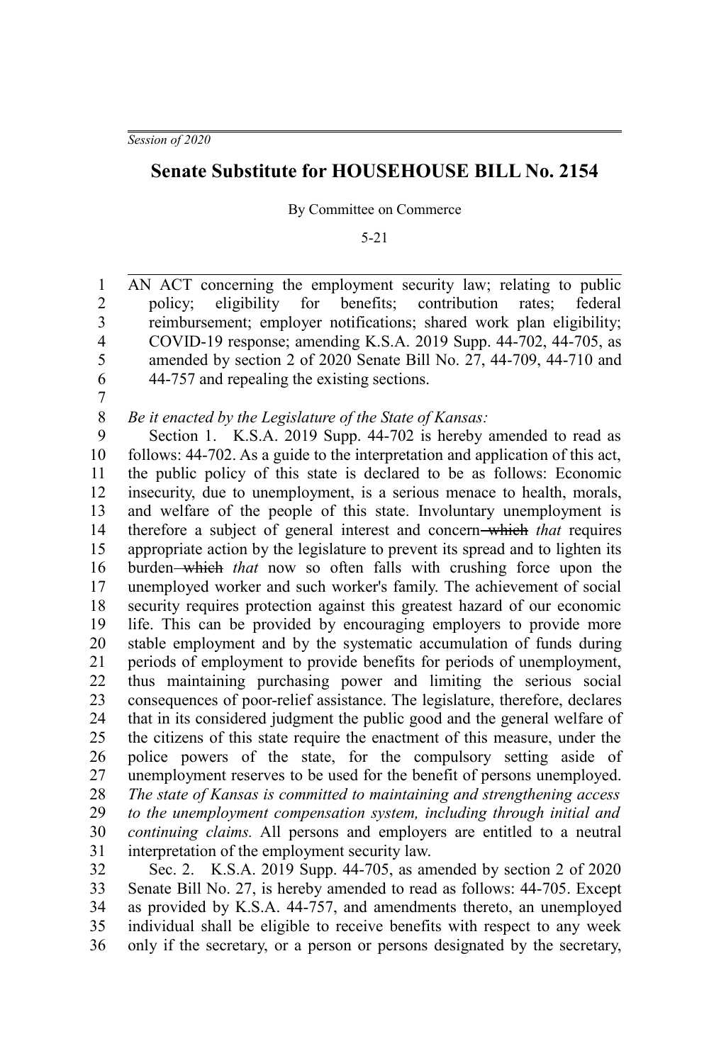*Session of 2020*

## **Senate Substitute for HOUSEHOUSE BILL No. 2154**

By Committee on Commerce

5-21

AN ACT concerning the employment security law; relating to public policy; eligibility for benefits; contribution rates; federal reimbursement; employer notifications; shared work plan eligibility; COVID-19 response; amending K.S.A. 2019 Supp. 44-702, 44-705, as amended by section 2 of 2020 Senate Bill No. 27, 44-709, 44-710 and 44-757 and repealing the existing sections. 1 2 3 4 5 6

7

## *Be it enacted by the Legislature of the State of Kansas:* 8

Section 1. K.S.A. 2019 Supp. 44-702 is hereby amended to read as follows: 44-702. As a guide to the interpretation and application of this act, the public policy of this state is declared to be as follows: Economic insecurity, due to unemployment, is a serious menace to health, morals, and welfare of the people of this state. Involuntary unemployment is therefore a subject of general interest and concern which *that* requires appropriate action by the legislature to prevent its spread and to lighten its burden which *that* now so often falls with crushing force upon the unemployed worker and such worker's family. The achievement of social security requires protection against this greatest hazard of our economic life. This can be provided by encouraging employers to provide more stable employment and by the systematic accumulation of funds during periods of employment to provide benefits for periods of unemployment, thus maintaining purchasing power and limiting the serious social consequences of poor-relief assistance. The legislature, therefore, declares that in its considered judgment the public good and the general welfare of the citizens of this state require the enactment of this measure, under the police powers of the state, for the compulsory setting aside of unemployment reserves to be used for the benefit of persons unemployed. *The state of Kansas is committed to maintaining and strengthening access to the unemployment compensation system, including through initial and continuing claims.* All persons and employers are entitled to a neutral interpretation of the employment security law. 9 10 11 12 13 14 15 16 17 18 19 20 21 22 23 24 25 26 27 28 29 30 31

Sec. 2. K.S.A. 2019 Supp. 44-705, as amended by section 2 of 2020 Senate Bill No. 27, is hereby amended to read as follows: 44-705. Except as provided by K.S.A. 44-757, and amendments thereto, an unemployed individual shall be eligible to receive benefits with respect to any week only if the secretary, or a person or persons designated by the secretary, 32 33 34 35 36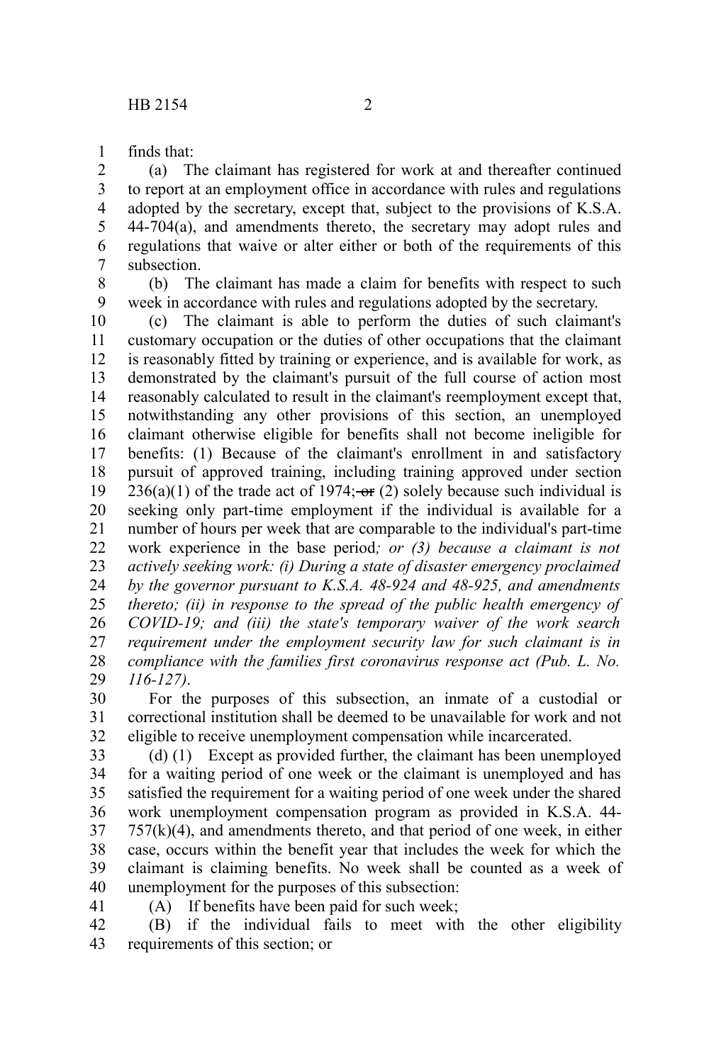finds that: 1

(a) The claimant has registered for work at and thereafter continued to report at an employment office in accordance with rules and regulations adopted by the secretary, except that, subject to the provisions of K.S.A. 44-704(a), and amendments thereto, the secretary may adopt rules and regulations that waive or alter either or both of the requirements of this subsection. 2 3 4 5 6 7

(b) The claimant has made a claim for benefits with respect to such 8

week in accordance with rules and regulations adopted by the secretary. (c) The claimant is able to perform the duties of such claimant's customary occupation or the duties of other occupations that the claimant is reasonably fitted by training or experience, and is available for work, as demonstrated by the claimant's pursuit of the full course of action most reasonably calculated to result in the claimant's reemployment except that, notwithstanding any other provisions of this section, an unemployed claimant otherwise eligible for benefits shall not become ineligible for benefits: (1) Because of the claimant's enrollment in and satisfactory pursuit of approved training, including training approved under section  $236(a)(1)$  of the trade act of 1974;  $-$ or (2) solely because such individual is seeking only part-time employment if the individual is available for a number of hours per week that are comparable to the individual's part-time work experience in the base period*; or (3) because a claimant is not actively seeking work: (i) During a state of disaster emergency proclaimed by the governor pursuant to K.S.A. 48-924 and 48-925, and amendments thereto; (ii) in response to the spread of the public health emergency of COVID-19; and (iii) the state's temporary waiver of the work search requirement under the employment security law for such claimant is in compliance with the families first coronavirus response act (Pub. L. No. 116-127)*. 9 10 11 12 13 14 15 16 17 18 19 20 21 22 23 24 25 26 27 28 29

For the purposes of this subsection, an inmate of a custodial or correctional institution shall be deemed to be unavailable for work and not eligible to receive unemployment compensation while incarcerated. 30 31 32

(d) (1) Except as provided further, the claimant has been unemployed for a waiting period of one week or the claimant is unemployed and has satisfied the requirement for a waiting period of one week under the shared work unemployment compensation program as provided in K.S.A. 44-  $757(k)(4)$ , and amendments thereto, and that period of one week, in either case, occurs within the benefit year that includes the week for which the claimant is claiming benefits. No week shall be counted as a week of unemployment for the purposes of this subsection: 33 34 35 36 37 38 39 40

41

(A) If benefits have been paid for such week;

(B) if the individual fails to meet with the other eligibility requirements of this section; or 42 43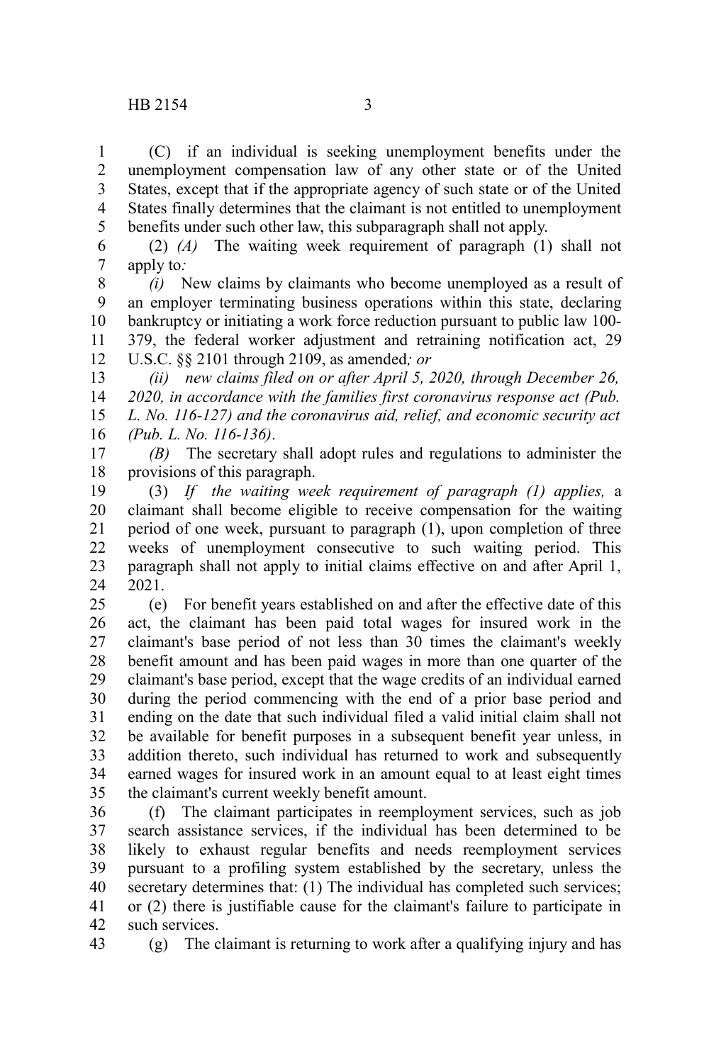(C) if an individual is seeking unemployment benefits under the unemployment compensation law of any other state or of the United States, except that if the appropriate agency of such state or of the United States finally determines that the claimant is not entitled to unemployment benefits under such other law, this subparagraph shall not apply. 1 2 3 4 5

(2) *(A)* The waiting week requirement of paragraph (1) shall not apply to*:* 6 7

*(i)* New claims by claimants who become unemployed as a result of an employer terminating business operations within this state, declaring bankruptcy or initiating a work force reduction pursuant to public law 100- 379, the federal worker adjustment and retraining notification act, 29 U.S.C. §§ 2101 through 2109, as amended*; or* 8 9 10 11 12

*(ii) new claims filed on or after April 5, 2020, through December 26, 2020, in accordance with the families first coronavirus response act (Pub. L. No. 116-127) and the coronavirus aid, relief, and economic security act (Pub. L. No. 116-136)*. 13 14 15 16

*(B)* The secretary shall adopt rules and regulations to administer the provisions of this paragraph. 17 18

(3) *If the waiting week requirement of paragraph (1) applies,* a claimant shall become eligible to receive compensation for the waiting period of one week, pursuant to paragraph (1), upon completion of three weeks of unemployment consecutive to such waiting period. This paragraph shall not apply to initial claims effective on and after April 1, 2021. 19 20 21 22 23 24

(e) For benefit years established on and after the effective date of this act, the claimant has been paid total wages for insured work in the claimant's base period of not less than 30 times the claimant's weekly benefit amount and has been paid wages in more than one quarter of the claimant's base period, except that the wage credits of an individual earned during the period commencing with the end of a prior base period and ending on the date that such individual filed a valid initial claim shall not be available for benefit purposes in a subsequent benefit year unless, in addition thereto, such individual has returned to work and subsequently earned wages for insured work in an amount equal to at least eight times the claimant's current weekly benefit amount. 25 26 27 28 29 30 31 32 33 34 35

(f) The claimant participates in reemployment services, such as job search assistance services, if the individual has been determined to be likely to exhaust regular benefits and needs reemployment services pursuant to a profiling system established by the secretary, unless the secretary determines that: (1) The individual has completed such services; or (2) there is justifiable cause for the claimant's failure to participate in such services. 36 37 38 39 40 41 42

43

(g) The claimant is returning to work after a qualifying injury and has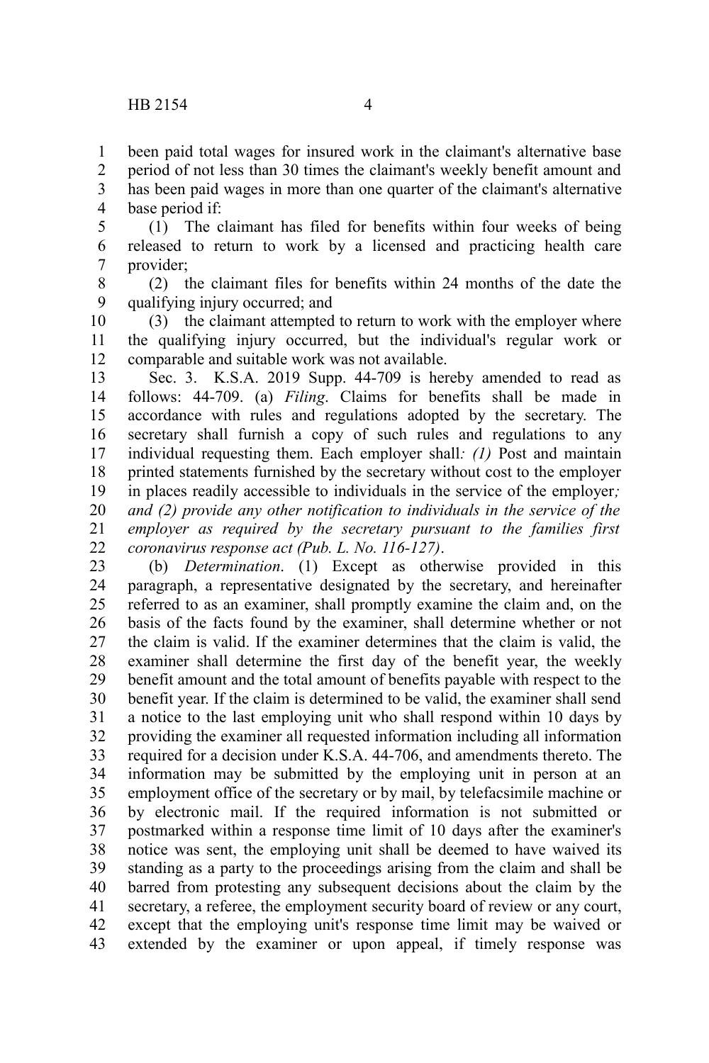period of not less than 30 times the claimant's weekly benefit amount and has been paid wages in more than one quarter of the claimant's alternative base period if: 2 3 4

(1) The claimant has filed for benefits within four weeks of being released to return to work by a licensed and practicing health care provider; 5 6 7

(2) the claimant files for benefits within 24 months of the date the qualifying injury occurred; and 8 9

(3) the claimant attempted to return to work with the employer where the qualifying injury occurred, but the individual's regular work or comparable and suitable work was not available. 10 11 12

Sec. 3. K.S.A. 2019 Supp. 44-709 is hereby amended to read as follows: 44-709. (a) *Filing*. Claims for benefits shall be made in accordance with rules and regulations adopted by the secretary. The secretary shall furnish a copy of such rules and regulations to any individual requesting them. Each employer shall*: (1)* Post and maintain printed statements furnished by the secretary without cost to the employer in places readily accessible to individuals in the service of the employer*; and (2) provide any other notification to individuals in the service of the employer as required by the secretary pursuant to the families first coronavirus response act (Pub. L. No. 116-127)*. 13 14 15 16 17 18 19 20 21 22

(b) *Determination*. (1) Except as otherwise provided in this paragraph, a representative designated by the secretary, and hereinafter referred to as an examiner, shall promptly examine the claim and, on the basis of the facts found by the examiner, shall determine whether or not the claim is valid. If the examiner determines that the claim is valid, the examiner shall determine the first day of the benefit year, the weekly benefit amount and the total amount of benefits payable with respect to the benefit year. If the claim is determined to be valid, the examiner shall send a notice to the last employing unit who shall respond within 10 days by providing the examiner all requested information including all information required for a decision under K.S.A. 44-706, and amendments thereto. The information may be submitted by the employing unit in person at an employment office of the secretary or by mail, by telefacsimile machine or by electronic mail. If the required information is not submitted or postmarked within a response time limit of 10 days after the examiner's notice was sent, the employing unit shall be deemed to have waived its standing as a party to the proceedings arising from the claim and shall be barred from protesting any subsequent decisions about the claim by the secretary, a referee, the employment security board of review or any court, except that the employing unit's response time limit may be waived or extended by the examiner or upon appeal, if timely response was 23 24 25 26 27 28 29 30 31 32 33 34 35 36 37 38 39 40 41 42 43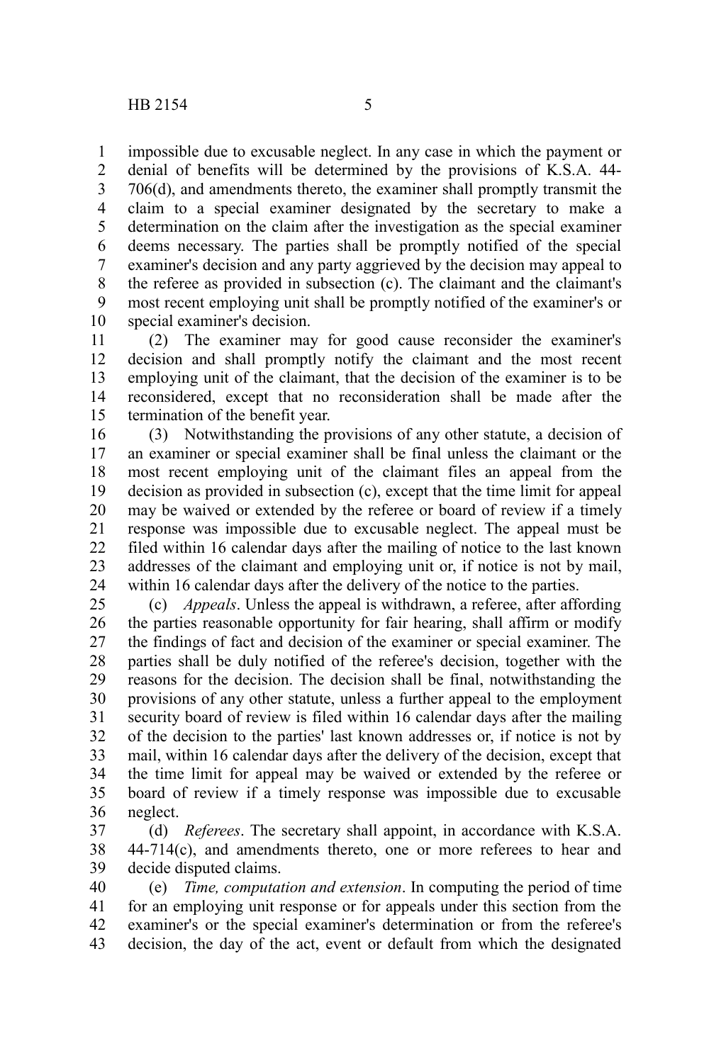impossible due to excusable neglect. In any case in which the payment or denial of benefits will be determined by the provisions of K.S.A. 44- 706(d), and amendments thereto, the examiner shall promptly transmit the claim to a special examiner designated by the secretary to make a determination on the claim after the investigation as the special examiner deems necessary. The parties shall be promptly notified of the special examiner's decision and any party aggrieved by the decision may appeal to the referee as provided in subsection (c). The claimant and the claimant's most recent employing unit shall be promptly notified of the examiner's or special examiner's decision. 1 2 3 4 5 6 7 8 9 10

(2) The examiner may for good cause reconsider the examiner's decision and shall promptly notify the claimant and the most recent employing unit of the claimant, that the decision of the examiner is to be reconsidered, except that no reconsideration shall be made after the termination of the benefit year. 11 12 13 14 15

(3) Notwithstanding the provisions of any other statute, a decision of an examiner or special examiner shall be final unless the claimant or the most recent employing unit of the claimant files an appeal from the decision as provided in subsection (c), except that the time limit for appeal may be waived or extended by the referee or board of review if a timely response was impossible due to excusable neglect. The appeal must be filed within 16 calendar days after the mailing of notice to the last known addresses of the claimant and employing unit or, if notice is not by mail, within 16 calendar days after the delivery of the notice to the parties. 16 17 18 19 20 21 22 23 24

(c) *Appeals*. Unless the appeal is withdrawn, a referee, after affording the parties reasonable opportunity for fair hearing, shall affirm or modify the findings of fact and decision of the examiner or special examiner. The parties shall be duly notified of the referee's decision, together with the reasons for the decision. The decision shall be final, notwithstanding the provisions of any other statute, unless a further appeal to the employment security board of review is filed within 16 calendar days after the mailing of the decision to the parties' last known addresses or, if notice is not by mail, within 16 calendar days after the delivery of the decision, except that the time limit for appeal may be waived or extended by the referee or board of review if a timely response was impossible due to excusable neglect. 25 26 27 28 29 30 31 32 33 34 35 36

(d) *Referees*. The secretary shall appoint, in accordance with K.S.A. 44-714(c), and amendments thereto, one or more referees to hear and decide disputed claims. 37 38 39

(e) *Time, computation and extension*. In computing the period of time for an employing unit response or for appeals under this section from the examiner's or the special examiner's determination or from the referee's decision, the day of the act, event or default from which the designated 40 41 42 43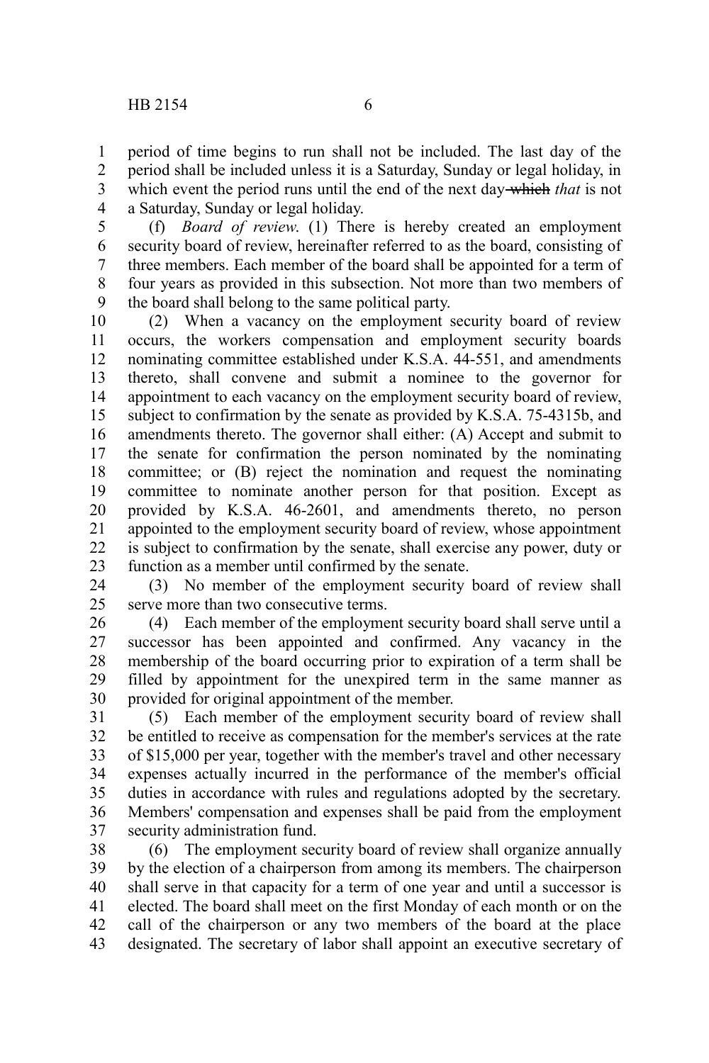period of time begins to run shall not be included. The last day of the period shall be included unless it is a Saturday, Sunday or legal holiday, in which event the period runs until the end of the next day which *that* is not a Saturday, Sunday or legal holiday. 1 2 3 4

(f) *Board of review*. (1) There is hereby created an employment security board of review, hereinafter referred to as the board, consisting of three members. Each member of the board shall be appointed for a term of four years as provided in this subsection. Not more than two members of the board shall belong to the same political party. 5 6 7 8 9

(2) When a vacancy on the employment security board of review occurs, the workers compensation and employment security boards nominating committee established under K.S.A. 44-551, and amendments thereto, shall convene and submit a nominee to the governor for appointment to each vacancy on the employment security board of review, subject to confirmation by the senate as provided by K.S.A. 75-4315b, and amendments thereto. The governor shall either: (A) Accept and submit to the senate for confirmation the person nominated by the nominating committee; or (B) reject the nomination and request the nominating committee to nominate another person for that position. Except as provided by K.S.A. 46-2601, and amendments thereto, no person appointed to the employment security board of review, whose appointment is subject to confirmation by the senate, shall exercise any power, duty or function as a member until confirmed by the senate. 10 11 12 13 14 15 16 17 18 19 20 21 22 23

(3) No member of the employment security board of review shall serve more than two consecutive terms. 24 25

(4) Each member of the employment security board shall serve until a successor has been appointed and confirmed. Any vacancy in the membership of the board occurring prior to expiration of a term shall be filled by appointment for the unexpired term in the same manner as provided for original appointment of the member. 26 27 28 29 30

(5) Each member of the employment security board of review shall be entitled to receive as compensation for the member's services at the rate of \$15,000 per year, together with the member's travel and other necessary expenses actually incurred in the performance of the member's official duties in accordance with rules and regulations adopted by the secretary. Members' compensation and expenses shall be paid from the employment security administration fund. 31 32 33 34 35 36 37

(6) The employment security board of review shall organize annually by the election of a chairperson from among its members. The chairperson shall serve in that capacity for a term of one year and until a successor is elected. The board shall meet on the first Monday of each month or on the call of the chairperson or any two members of the board at the place designated. The secretary of labor shall appoint an executive secretary of 38 39 40 41 42 43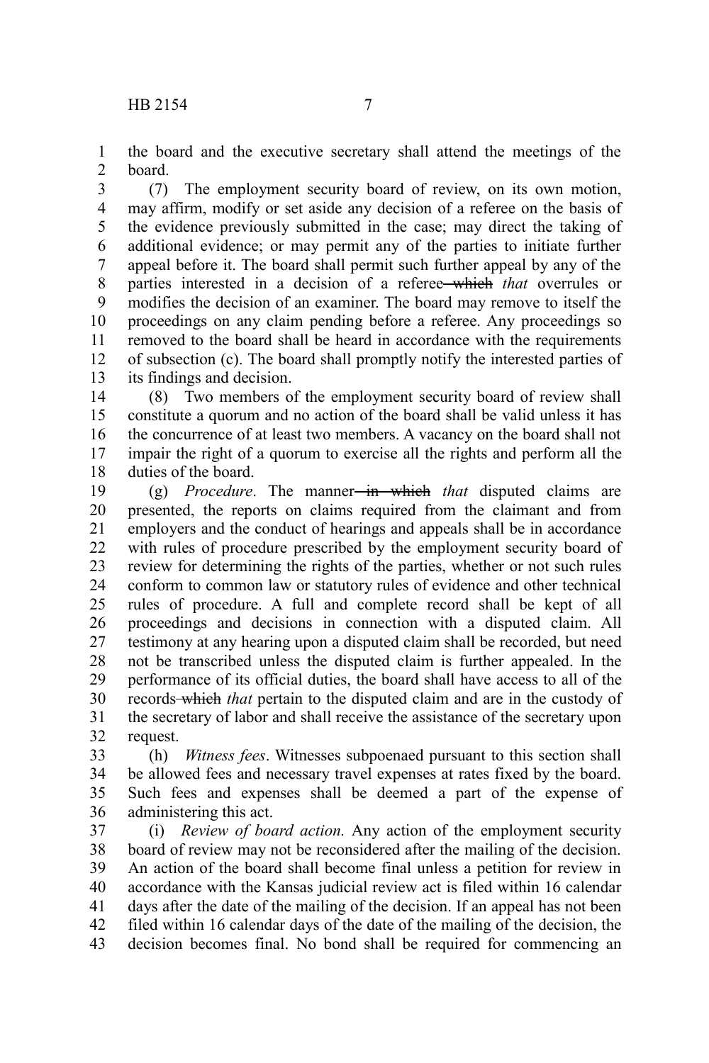the board and the executive secretary shall attend the meetings of the board. 1  $\mathcal{L}$ 

(7) The employment security board of review, on its own motion, may affirm, modify or set aside any decision of a referee on the basis of the evidence previously submitted in the case; may direct the taking of additional evidence; or may permit any of the parties to initiate further appeal before it. The board shall permit such further appeal by any of the parties interested in a decision of a referee which *that* overrules or modifies the decision of an examiner. The board may remove to itself the proceedings on any claim pending before a referee. Any proceedings so removed to the board shall be heard in accordance with the requirements of subsection (c). The board shall promptly notify the interested parties of its findings and decision. 3 4 5 6 7 8 9 10 11 12 13

(8) Two members of the employment security board of review shall constitute a quorum and no action of the board shall be valid unless it has the concurrence of at least two members. A vacancy on the board shall not impair the right of a quorum to exercise all the rights and perform all the duties of the board. 14 15 16 17 18

(g) *Procedure*. The manner<del> in which</del> that disputed claims are presented, the reports on claims required from the claimant and from employers and the conduct of hearings and appeals shall be in accordance with rules of procedure prescribed by the employment security board of review for determining the rights of the parties, whether or not such rules conform to common law or statutory rules of evidence and other technical rules of procedure. A full and complete record shall be kept of all proceedings and decisions in connection with a disputed claim. All testimony at any hearing upon a disputed claim shall be recorded, but need not be transcribed unless the disputed claim is further appealed. In the performance of its official duties, the board shall have access to all of the records which *that* pertain to the disputed claim and are in the custody of the secretary of labor and shall receive the assistance of the secretary upon request. 19 20 21 22 23 24 25 26 27 28 29 30 31 32

(h) *Witness fees*. Witnesses subpoenaed pursuant to this section shall be allowed fees and necessary travel expenses at rates fixed by the board. Such fees and expenses shall be deemed a part of the expense of administering this act. 33 34 35 36

(i) *Review of board action.* Any action of the employment security board of review may not be reconsidered after the mailing of the decision. An action of the board shall become final unless a petition for review in accordance with the Kansas judicial review act is filed within 16 calendar days after the date of the mailing of the decision. If an appeal has not been filed within 16 calendar days of the date of the mailing of the decision, the decision becomes final. No bond shall be required for commencing an 37 38 39 40 41 42 43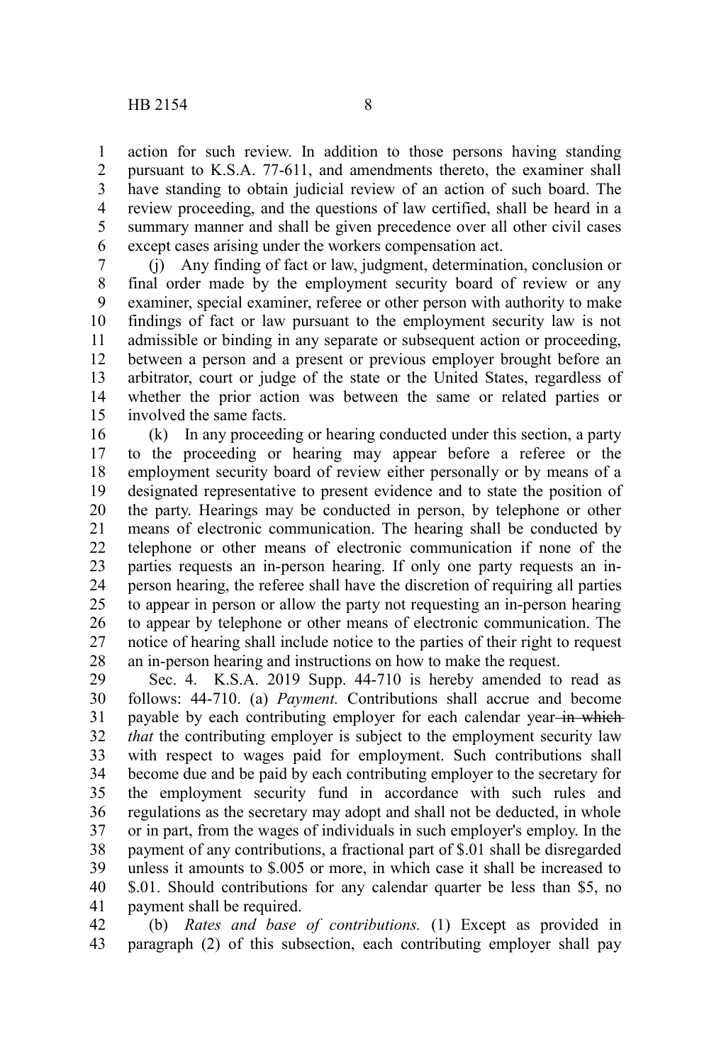action for such review. In addition to those persons having standing pursuant to K.S.A. 77-611, and amendments thereto, the examiner shall have standing to obtain judicial review of an action of such board. The review proceeding, and the questions of law certified, shall be heard in a summary manner and shall be given precedence over all other civil cases except cases arising under the workers compensation act. 1 2 3 4 5 6

(j) Any finding of fact or law, judgment, determination, conclusion or final order made by the employment security board of review or any examiner, special examiner, referee or other person with authority to make findings of fact or law pursuant to the employment security law is not admissible or binding in any separate or subsequent action or proceeding, between a person and a present or previous employer brought before an arbitrator, court or judge of the state or the United States, regardless of whether the prior action was between the same or related parties or involved the same facts. 7 8 9 10 11 12 13 14 15

(k) In any proceeding or hearing conducted under this section, a party to the proceeding or hearing may appear before a referee or the employment security board of review either personally or by means of a designated representative to present evidence and to state the position of the party. Hearings may be conducted in person, by telephone or other means of electronic communication. The hearing shall be conducted by telephone or other means of electronic communication if none of the parties requests an in-person hearing. If only one party requests an inperson hearing, the referee shall have the discretion of requiring all parties to appear in person or allow the party not requesting an in-person hearing to appear by telephone or other means of electronic communication. The notice of hearing shall include notice to the parties of their right to request an in-person hearing and instructions on how to make the request. 16 17 18 19 20 21 22 23 24 25 26 27 28

Sec. 4. K.S.A. 2019 Supp. 44-710 is hereby amended to read as follows: 44-710. (a) *Payment.* Contributions shall accrue and become payable by each contributing employer for each calendar year-in which *that* the contributing employer is subject to the employment security law with respect to wages paid for employment. Such contributions shall become due and be paid by each contributing employer to the secretary for the employment security fund in accordance with such rules and regulations as the secretary may adopt and shall not be deducted, in whole or in part, from the wages of individuals in such employer's employ. In the payment of any contributions, a fractional part of \$.01 shall be disregarded unless it amounts to \$.005 or more, in which case it shall be increased to \$.01. Should contributions for any calendar quarter be less than \$5, no payment shall be required. 29 30 31 32 33 34 35 36 37 38 39 40 41

(b) *Rates and base of contributions.* (1) Except as provided in paragraph (2) of this subsection, each contributing employer shall pay 42 43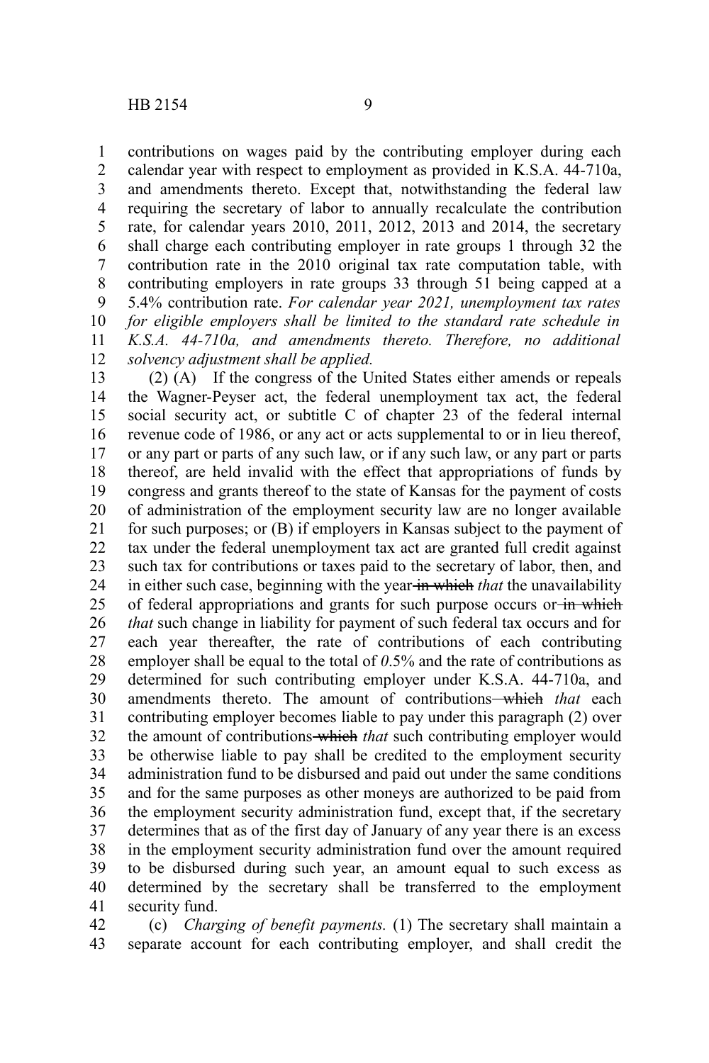contributions on wages paid by the contributing employer during each calendar year with respect to employment as provided in K.S.A. 44-710a, and amendments thereto. Except that, notwithstanding the federal law requiring the secretary of labor to annually recalculate the contribution rate, for calendar years 2010, 2011, 2012, 2013 and 2014, the secretary shall charge each contributing employer in rate groups 1 through 32 the contribution rate in the 2010 original tax rate computation table, with contributing employers in rate groups 33 through 51 being capped at a 5.4% contribution rate. *For calendar year 2021, unemployment tax rates for eligible employers shall be limited to the standard rate schedule in K.S.A. 44-710a, and amendments thereto. Therefore, no additional solvency adjustment shall be applied.* 1 2 3 4 5 6 7 8 9 10 11 12

(2) (A) If the congress of the United States either amends or repeals the Wagner-Peyser act, the federal unemployment tax act, the federal social security act, or subtitle C of chapter 23 of the federal internal revenue code of 1986, or any act or acts supplemental to or in lieu thereof, or any part or parts of any such law, or if any such law, or any part or parts thereof, are held invalid with the effect that appropriations of funds by congress and grants thereof to the state of Kansas for the payment of costs of administration of the employment security law are no longer available for such purposes; or (B) if employers in Kansas subject to the payment of tax under the federal unemployment tax act are granted full credit against such tax for contributions or taxes paid to the secretary of labor, then, and in either such case, beginning with the year in which *that* the unavailability of federal appropriations and grants for such purpose occurs or in which *that* such change in liability for payment of such federal tax occurs and for each year thereafter, the rate of contributions of each contributing employer shall be equal to the total of *0*.5% and the rate of contributions as determined for such contributing employer under K.S.A. 44-710a, and amendments thereto. The amount of contributions-which that each contributing employer becomes liable to pay under this paragraph (2) over the amount of contributions which *that* such contributing employer would be otherwise liable to pay shall be credited to the employment security administration fund to be disbursed and paid out under the same conditions and for the same purposes as other moneys are authorized to be paid from the employment security administration fund, except that, if the secretary determines that as of the first day of January of any year there is an excess in the employment security administration fund over the amount required to be disbursed during such year, an amount equal to such excess as determined by the secretary shall be transferred to the employment security fund. 13 14 15 16 17 18 19 20 21 22 23 24 25 26 27 28 29 30 31 32 33 34 35 36 37 38 39 40 41

(c) *Charging of benefit payments.* (1) The secretary shall maintain a separate account for each contributing employer, and shall credit the 42 43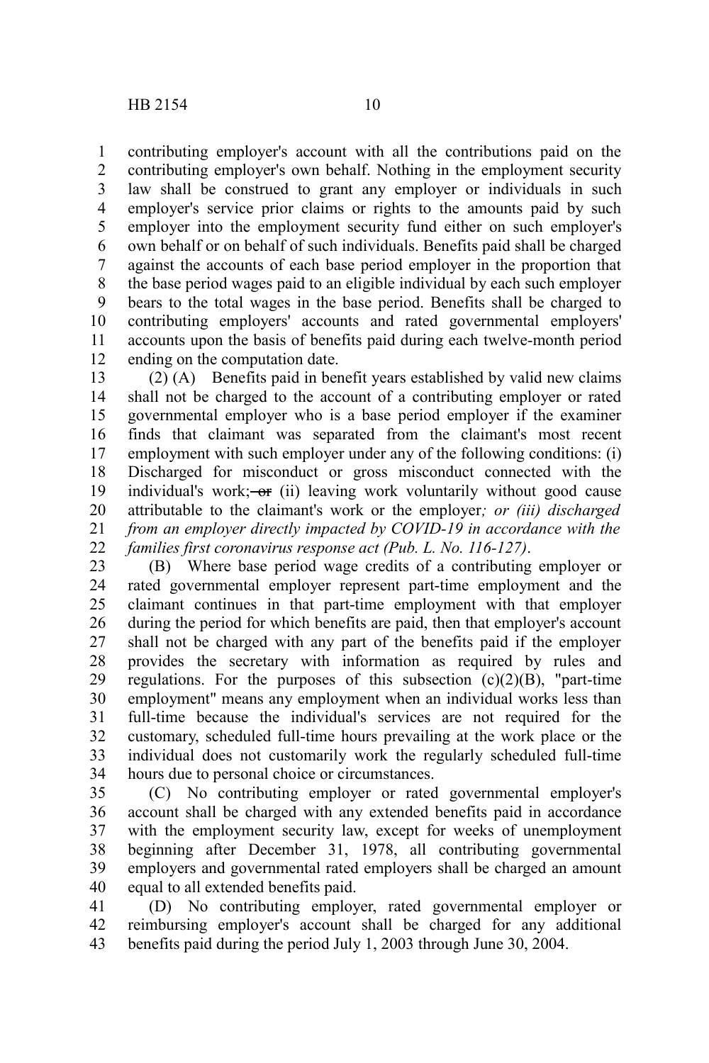contributing employer's account with all the contributions paid on the contributing employer's own behalf. Nothing in the employment security law shall be construed to grant any employer or individuals in such employer's service prior claims or rights to the amounts paid by such employer into the employment security fund either on such employer's own behalf or on behalf of such individuals. Benefits paid shall be charged against the accounts of each base period employer in the proportion that the base period wages paid to an eligible individual by each such employer bears to the total wages in the base period. Benefits shall be charged to contributing employers' accounts and rated governmental employers' accounts upon the basis of benefits paid during each twelve-month period ending on the computation date. 1 2 3 4 5 6 7 8 9 10 11 12

(2) (A) Benefits paid in benefit years established by valid new claims shall not be charged to the account of a contributing employer or rated governmental employer who is a base period employer if the examiner finds that claimant was separated from the claimant's most recent employment with such employer under any of the following conditions: (i) Discharged for misconduct or gross misconduct connected with the individual's work;  $-$ or (ii) leaving work voluntarily without good cause attributable to the claimant's work or the employer*; or (iii) discharged from an employer directly impacted by COVID-19 in accordance with the families first coronavirus response act (Pub. L. No. 116-127)*. 13 14 15 16 17 18 19 20 21 22

(B) Where base period wage credits of a contributing employer or rated governmental employer represent part-time employment and the claimant continues in that part-time employment with that employer during the period for which benefits are paid, then that employer's account shall not be charged with any part of the benefits paid if the employer provides the secretary with information as required by rules and regulations. For the purposes of this subsection  $(c)(2)(B)$ , "part-time employment" means any employment when an individual works less than full-time because the individual's services are not required for the customary, scheduled full-time hours prevailing at the work place or the individual does not customarily work the regularly scheduled full-time hours due to personal choice or circumstances. 23 24 25 26 27 28 29 30 31 32 33 34

(C) No contributing employer or rated governmental employer's account shall be charged with any extended benefits paid in accordance with the employment security law, except for weeks of unemployment beginning after December 31, 1978, all contributing governmental employers and governmental rated employers shall be charged an amount equal to all extended benefits paid. 35 36 37 38 39 40

(D) No contributing employer, rated governmental employer or reimbursing employer's account shall be charged for any additional benefits paid during the period July 1, 2003 through June 30, 2004. 41 42 43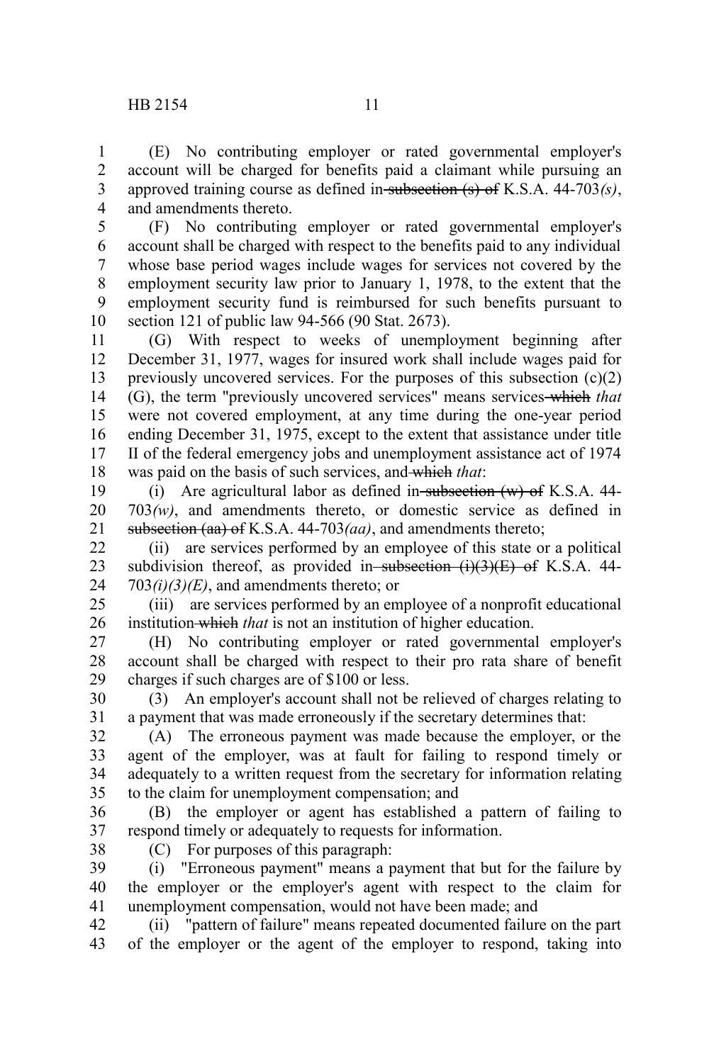(E) No contributing employer or rated governmental employer's account will be charged for benefits paid a claimant while pursuing an approved training course as defined in subsection (s) of K.S.A. 44-703*(s)*, and amendments thereto. 1 2 3 4

(F) No contributing employer or rated governmental employer's account shall be charged with respect to the benefits paid to any individual whose base period wages include wages for services not covered by the employment security law prior to January 1, 1978, to the extent that the employment security fund is reimbursed for such benefits pursuant to section 121 of public law 94-566 (90 Stat. 2673). 5 6 7 8 9 10

(G) With respect to weeks of unemployment beginning after December 31, 1977, wages for insured work shall include wages paid for previously uncovered services. For the purposes of this subsection  $(c)(2)$ (G), the term "previously uncovered services" means services which *that* were not covered employment, at any time during the one-year period ending December 31, 1975, except to the extent that assistance under title II of the federal emergency jobs and unemployment assistance act of 1974 was paid on the basis of such services, and which *that*: 11 12 13 14 15 16 17 18

(i) Are agricultural labor as defined in subsection  $(w)$  of K.S.A. 44-703*(w)*, and amendments thereto, or domestic service as defined in subsection (aa) of K.S.A. 44-703*(aa)*, and amendments thereto; 19 20 21

(ii) are services performed by an employee of this state or a political subdivision thereof, as provided in subsection  $(i)(3)(E)$  of K.S.A. 44-703*(i)(3)(E)*, and amendments thereto; or 22 23 24

(iii) are services performed by an employee of a nonprofit educational institution which *that* is not an institution of higher education. 25 26

(H) No contributing employer or rated governmental employer's account shall be charged with respect to their pro rata share of benefit charges if such charges are of \$100 or less. 27 28 29

(3) An employer's account shall not be relieved of charges relating to a payment that was made erroneously if the secretary determines that: 30 31

(A) The erroneous payment was made because the employer, or the agent of the employer, was at fault for failing to respond timely or adequately to a written request from the secretary for information relating to the claim for unemployment compensation; and 32 33 34 35

(B) the employer or agent has established a pattern of failing to respond timely or adequately to requests for information. 36 37

38

(C) For purposes of this paragraph:

(i) "Erroneous payment" means a payment that but for the failure by the employer or the employer's agent with respect to the claim for unemployment compensation, would not have been made; and 39 40 41

(ii) "pattern of failure" means repeated documented failure on the part of the employer or the agent of the employer to respond, taking into 42 43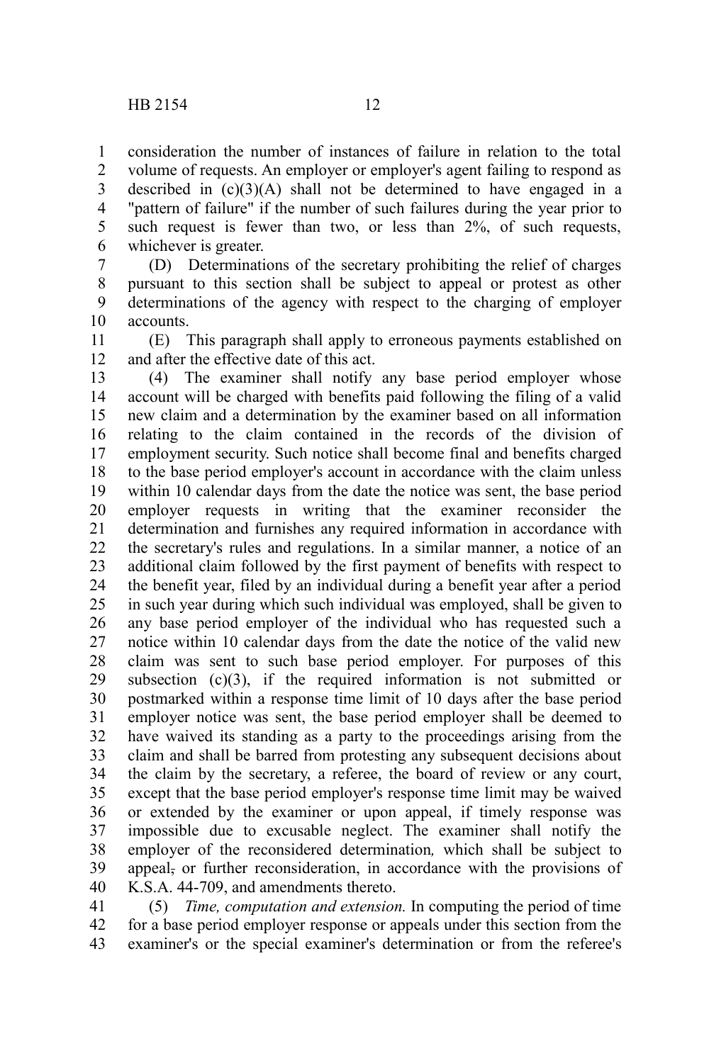consideration the number of instances of failure in relation to the total volume of requests. An employer or employer's agent failing to respond as described in  $(c)(3)(A)$  shall not be determined to have engaged in a "pattern of failure" if the number of such failures during the year prior to such request is fewer than two, or less than 2%, of such requests, whichever is greater. 1 2 3 4 5 6

(D) Determinations of the secretary prohibiting the relief of charges pursuant to this section shall be subject to appeal or protest as other determinations of the agency with respect to the charging of employer accounts. 7 8 9 10

(E) This paragraph shall apply to erroneous payments established on and after the effective date of this act. 11 12

(4) The examiner shall notify any base period employer whose account will be charged with benefits paid following the filing of a valid new claim and a determination by the examiner based on all information relating to the claim contained in the records of the division of employment security. Such notice shall become final and benefits charged to the base period employer's account in accordance with the claim unless within 10 calendar days from the date the notice was sent, the base period employer requests in writing that the examiner reconsider the determination and furnishes any required information in accordance with the secretary's rules and regulations. In a similar manner, a notice of an additional claim followed by the first payment of benefits with respect to the benefit year, filed by an individual during a benefit year after a period in such year during which such individual was employed, shall be given to any base period employer of the individual who has requested such a notice within 10 calendar days from the date the notice of the valid new claim was sent to such base period employer. For purposes of this subsection  $(c)(3)$ , if the required information is not submitted or postmarked within a response time limit of 10 days after the base period employer notice was sent, the base period employer shall be deemed to have waived its standing as a party to the proceedings arising from the claim and shall be barred from protesting any subsequent decisions about the claim by the secretary, a referee, the board of review or any court, except that the base period employer's response time limit may be waived or extended by the examiner or upon appeal, if timely response was impossible due to excusable neglect. The examiner shall notify the employer of the reconsidered determination*,* which shall be subject to appeal, or further reconsideration, in accordance with the provisions of K.S.A. 44-709, and amendments thereto. 13 14 15 16 17 18 19 20 21 22 23 24 25 26 27 28 29 30 31 32 33 34 35 36 37 38 39 40

(5) *Time, computation and extension.* In computing the period of time for a base period employer response or appeals under this section from the examiner's or the special examiner's determination or from the referee's 41 42 43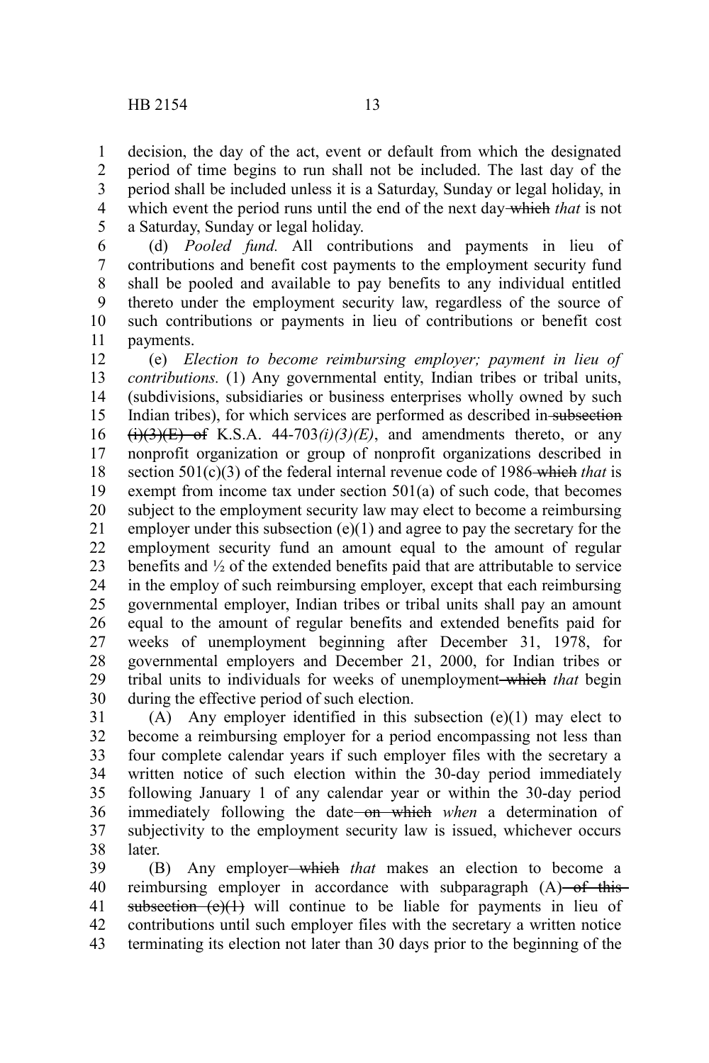decision, the day of the act, event or default from which the designated period of time begins to run shall not be included. The last day of the period shall be included unless it is a Saturday, Sunday or legal holiday, in which event the period runs until the end of the next day which *that* is not a Saturday, Sunday or legal holiday. 1 2 3 4 5

(d) *Pooled fund.* All contributions and payments in lieu of contributions and benefit cost payments to the employment security fund shall be pooled and available to pay benefits to any individual entitled thereto under the employment security law, regardless of the source of such contributions or payments in lieu of contributions or benefit cost payments. 6 7 8 9 10 11

(e) *Election to become reimbursing employer; payment in lieu of contributions.* (1) Any governmental entity, Indian tribes or tribal units, (subdivisions, subsidiaries or business enterprises wholly owned by such Indian tribes), for which services are performed as described in subsection  $\overline{(i)(3)(E)}$  of K.S.A. 44-703 $(i)(3)(E)$ , and amendments thereto, or any nonprofit organization or group of nonprofit organizations described in section 501(c)(3) of the federal internal revenue code of 1986-which *that* is exempt from income tax under section 501(a) of such code, that becomes subject to the employment security law may elect to become a reimbursing employer under this subsection  $(e)(1)$  and agree to pay the secretary for the employment security fund an amount equal to the amount of regular benefits and ½ of the extended benefits paid that are attributable to service in the employ of such reimbursing employer, except that each reimbursing governmental employer, Indian tribes or tribal units shall pay an amount equal to the amount of regular benefits and extended benefits paid for weeks of unemployment beginning after December 31, 1978, for governmental employers and December 21, 2000, for Indian tribes or tribal units to individuals for weeks of unemployment which *that* begin during the effective period of such election. 12 13 14 15 16 17 18 19 20 21 22 23 24 25 26 27 28 29 30

(A) Any employer identified in this subsection (e)(1) may elect to become a reimbursing employer for a period encompassing not less than four complete calendar years if such employer files with the secretary a written notice of such election within the 30-day period immediately following January 1 of any calendar year or within the 30-day period immediately following the date on which *when* a determination of subjectivity to the employment security law is issued, whichever occurs later. 31 32 33 34 35 36 37 38

(B) Any employer which *that* makes an election to become a reimbursing employer in accordance with subparagraph  $(A)$  of thissubsection  $(e)(1)$  will continue to be liable for payments in lieu of contributions until such employer files with the secretary a written notice terminating its election not later than 30 days prior to the beginning of the 39 40 41 42 43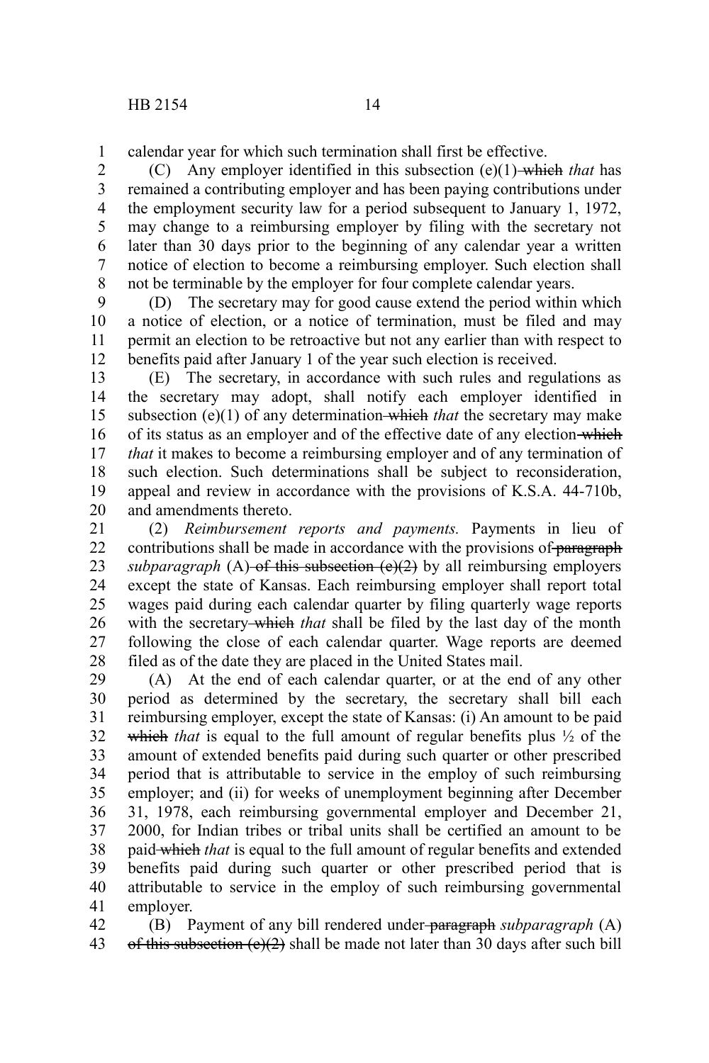calendar year for which such termination shall first be effective. 1

(C) Any employer identified in this subsection (e)(1) which *that* has remained a contributing employer and has been paying contributions under the employment security law for a period subsequent to January 1, 1972, may change to a reimbursing employer by filing with the secretary not later than 30 days prior to the beginning of any calendar year a written notice of election to become a reimbursing employer. Such election shall not be terminable by the employer for four complete calendar years. 2 3 4 5 6 7 8

(D) The secretary may for good cause extend the period within which a notice of election, or a notice of termination, must be filed and may permit an election to be retroactive but not any earlier than with respect to benefits paid after January 1 of the year such election is received. 9 10 11 12

(E) The secretary, in accordance with such rules and regulations as the secretary may adopt, shall notify each employer identified in subsection (e)(1) of any determination-which *that* the secretary may make of its status as an employer and of the effective date of any election-which *that* it makes to become a reimbursing employer and of any termination of such election. Such determinations shall be subject to reconsideration, appeal and review in accordance with the provisions of K.S.A. 44-710b, and amendments thereto. 13 14 15 16 17 18 19 20

(2) *Reimbursement reports and payments.* Payments in lieu of contributions shall be made in accordance with the provisions of paragraph *subparagraph* (A) of this subsection  $(e)(2)$  by all reimbursing employers except the state of Kansas. Each reimbursing employer shall report total wages paid during each calendar quarter by filing quarterly wage reports with the secretary-which *that* shall be filed by the last day of the month following the close of each calendar quarter. Wage reports are deemed filed as of the date they are placed in the United States mail. 21 22 23 24 25 26 27 28

(A) At the end of each calendar quarter, or at the end of any other period as determined by the secretary, the secretary shall bill each reimbursing employer, except the state of Kansas: (i) An amount to be paid which *that* is equal to the full amount of regular benefits plus  $\frac{1}{2}$  of the amount of extended benefits paid during such quarter or other prescribed period that is attributable to service in the employ of such reimbursing employer; and (ii) for weeks of unemployment beginning after December 31, 1978, each reimbursing governmental employer and December 21, 2000, for Indian tribes or tribal units shall be certified an amount to be paid which *that* is equal to the full amount of regular benefits and extended benefits paid during such quarter or other prescribed period that is attributable to service in the employ of such reimbursing governmental employer. 29 30 31 32 33 34 35 36 37 38 39 40 41

(B) Payment of any bill rendered under paragraph *subparagraph* (A) of this subsection  $(e)(2)$  shall be made not later than 30 days after such bill 42 43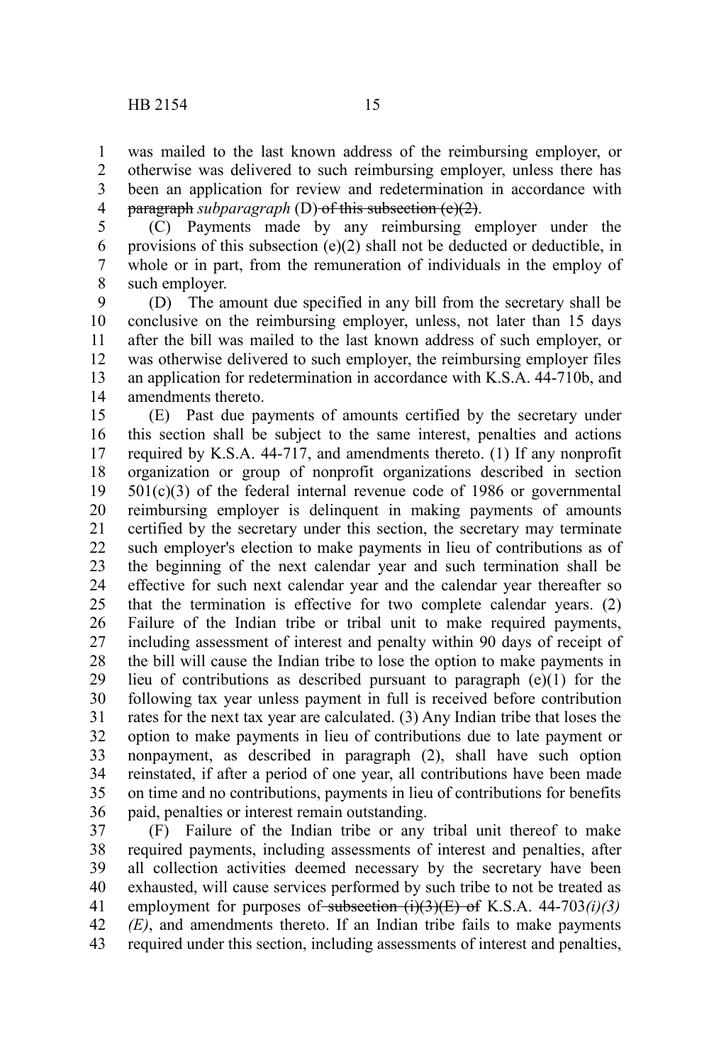1 2 3 was mailed to the last known address of the reimbursing employer, or otherwise was delivered to such reimbursing employer, unless there has been an application for review and redetermination in accordance with

paragraph *subparagraph* (D) of this subsection (e)(2). 4

(C) Payments made by any reimbursing employer under the provisions of this subsection (e)(2) shall not be deducted or deductible, in whole or in part, from the remuneration of individuals in the employ of such employer. 5 6 7 8

(D) The amount due specified in any bill from the secretary shall be conclusive on the reimbursing employer, unless, not later than 15 days after the bill was mailed to the last known address of such employer, or was otherwise delivered to such employer, the reimbursing employer files an application for redetermination in accordance with K.S.A. 44-710b, and amendments thereto. 9 10 11 12 13 14

(E) Past due payments of amounts certified by the secretary under this section shall be subject to the same interest, penalties and actions required by K.S.A. 44-717, and amendments thereto. (1) If any nonprofit organization or group of nonprofit organizations described in section  $501(c)(3)$  of the federal internal revenue code of 1986 or governmental reimbursing employer is delinquent in making payments of amounts certified by the secretary under this section, the secretary may terminate such employer's election to make payments in lieu of contributions as of the beginning of the next calendar year and such termination shall be effective for such next calendar year and the calendar year thereafter so that the termination is effective for two complete calendar years. (2) Failure of the Indian tribe or tribal unit to make required payments, including assessment of interest and penalty within 90 days of receipt of the bill will cause the Indian tribe to lose the option to make payments in lieu of contributions as described pursuant to paragraph (e)(1) for the following tax year unless payment in full is received before contribution rates for the next tax year are calculated. (3) Any Indian tribe that loses the option to make payments in lieu of contributions due to late payment or nonpayment, as described in paragraph (2), shall have such option reinstated, if after a period of one year, all contributions have been made on time and no contributions, payments in lieu of contributions for benefits paid, penalties or interest remain outstanding. 15 16 17 18 19 20 21 22 23 24 25 26 27 28 29 30 31 32 33 34 35 36

(F) Failure of the Indian tribe or any tribal unit thereof to make required payments, including assessments of interest and penalties, after all collection activities deemed necessary by the secretary have been exhausted, will cause services performed by such tribe to not be treated as employment for purposes of subsection  $(i)(3)(E)$  of K.S.A. 44-703 $(i)(3)$ *(E)*, and amendments thereto. If an Indian tribe fails to make payments required under this section, including assessments of interest and penalties, 37 38 39 40 41 42 43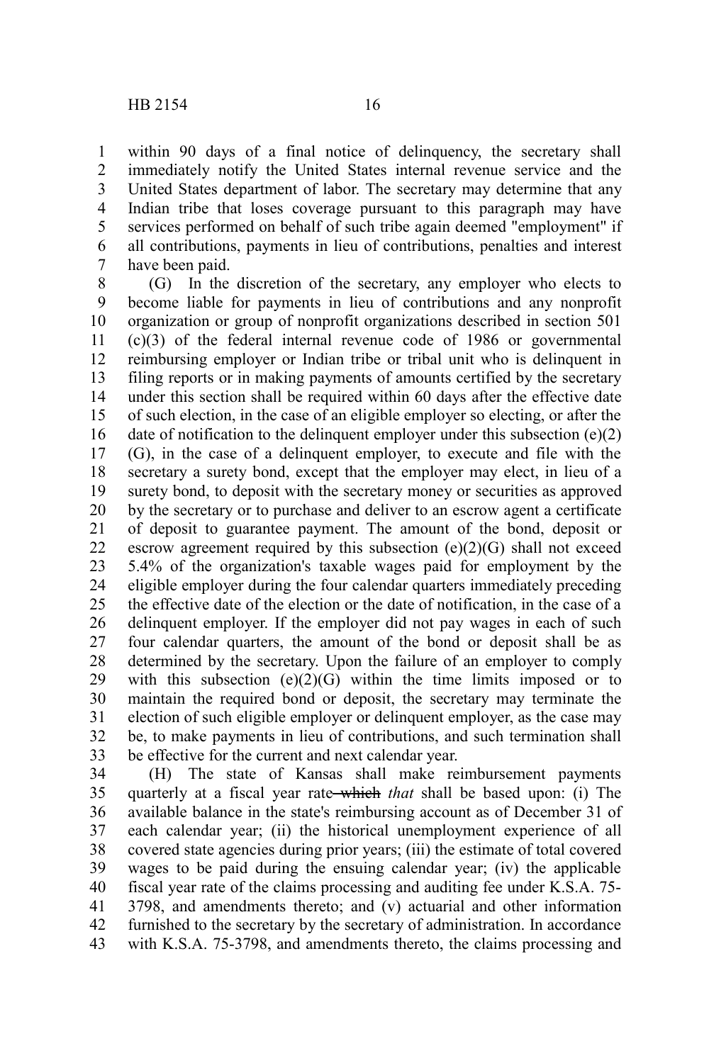within 90 days of a final notice of delinguency, the secretary shall immediately notify the United States internal revenue service and the United States department of labor. The secretary may determine that any Indian tribe that loses coverage pursuant to this paragraph may have services performed on behalf of such tribe again deemed "employment" if all contributions, payments in lieu of contributions, penalties and interest have been paid. 1 2 3 4 5 6 7

(G) In the discretion of the secretary, any employer who elects to become liable for payments in lieu of contributions and any nonprofit organization or group of nonprofit organizations described in section 501 (c)(3) of the federal internal revenue code of 1986 or governmental reimbursing employer or Indian tribe or tribal unit who is delinquent in filing reports or in making payments of amounts certified by the secretary under this section shall be required within 60 days after the effective date of such election, in the case of an eligible employer so electing, or after the date of notification to the delinquent employer under this subsection (e)(2) (G), in the case of a delinquent employer, to execute and file with the secretary a surety bond, except that the employer may elect, in lieu of a surety bond, to deposit with the secretary money or securities as approved by the secretary or to purchase and deliver to an escrow agent a certificate of deposit to guarantee payment. The amount of the bond, deposit or escrow agreement required by this subsection  $(e)(2)(G)$  shall not exceed 5.4% of the organization's taxable wages paid for employment by the eligible employer during the four calendar quarters immediately preceding the effective date of the election or the date of notification, in the case of a delinquent employer. If the employer did not pay wages in each of such four calendar quarters, the amount of the bond or deposit shall be as determined by the secretary. Upon the failure of an employer to comply with this subsection  $(e)(2)(G)$  within the time limits imposed or to maintain the required bond or deposit, the secretary may terminate the election of such eligible employer or delinquent employer, as the case may be, to make payments in lieu of contributions, and such termination shall be effective for the current and next calendar year. 8 9 10 11 12 13 14 15 16 17 18 19 20 21 22 23 24 25 26 27 28 29 30 31 32 33

(H) The state of Kansas shall make reimbursement payments quarterly at a fiscal year rate which *that* shall be based upon: (i) The available balance in the state's reimbursing account as of December 31 of each calendar year; (ii) the historical unemployment experience of all covered state agencies during prior years; (iii) the estimate of total covered wages to be paid during the ensuing calendar year; (iv) the applicable fiscal year rate of the claims processing and auditing fee under K.S.A. 75- 3798, and amendments thereto; and (v) actuarial and other information furnished to the secretary by the secretary of administration. In accordance with K.S.A. 75-3798, and amendments thereto, the claims processing and 34 35 36 37 38 39 40 41 42 43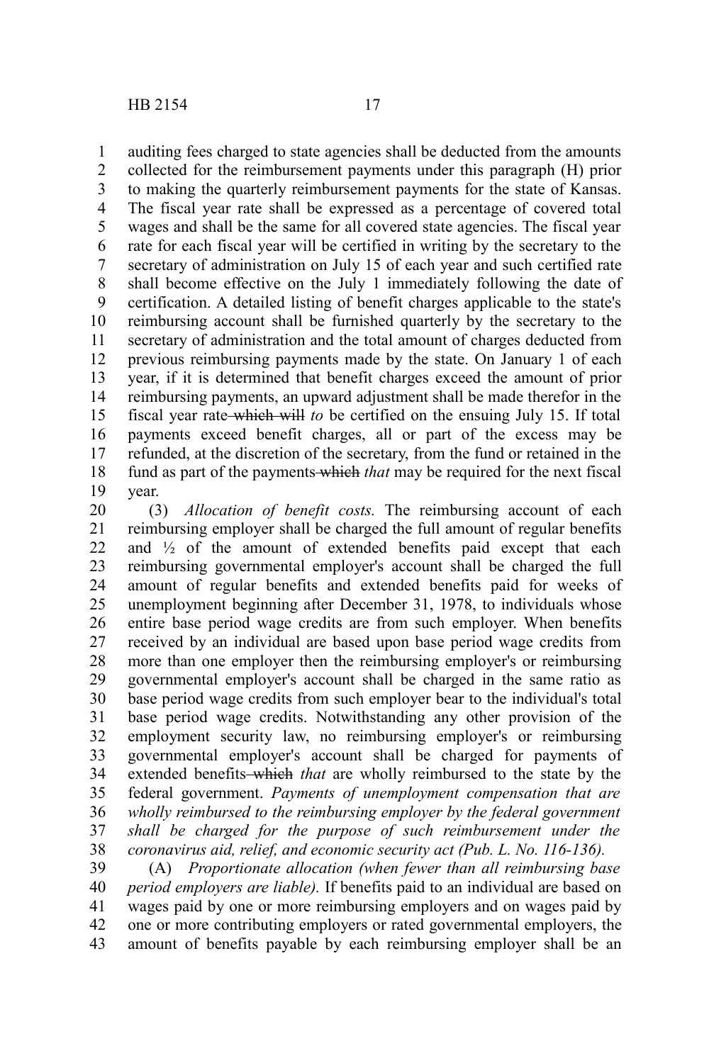auditing fees charged to state agencies shall be deducted from the amounts 1

collected for the reimbursement payments under this paragraph (H) prior to making the quarterly reimbursement payments for the state of Kansas. The fiscal year rate shall be expressed as a percentage of covered total wages and shall be the same for all covered state agencies. The fiscal year rate for each fiscal year will be certified in writing by the secretary to the secretary of administration on July 15 of each year and such certified rate shall become effective on the July 1 immediately following the date of certification. A detailed listing of benefit charges applicable to the state's reimbursing account shall be furnished quarterly by the secretary to the secretary of administration and the total amount of charges deducted from previous reimbursing payments made by the state. On January 1 of each year, if it is determined that benefit charges exceed the amount of prior reimbursing payments, an upward adjustment shall be made therefor in the fiscal year rate which will *to* be certified on the ensuing July 15. If total payments exceed benefit charges, all or part of the excess may be refunded, at the discretion of the secretary, from the fund or retained in the fund as part of the payments which *that* may be required for the next fiscal year. 2 3 4 5 6 7 8 9 10 11 12 13 14 15 16 17 18 19

(3) *Allocation of benefit costs.* The reimbursing account of each reimbursing employer shall be charged the full amount of regular benefits and  $\frac{1}{2}$  of the amount of extended benefits paid except that each reimbursing governmental employer's account shall be charged the full amount of regular benefits and extended benefits paid for weeks of unemployment beginning after December 31, 1978, to individuals whose entire base period wage credits are from such employer. When benefits received by an individual are based upon base period wage credits from more than one employer then the reimbursing employer's or reimbursing governmental employer's account shall be charged in the same ratio as base period wage credits from such employer bear to the individual's total base period wage credits. Notwithstanding any other provision of the employment security law, no reimbursing employer's or reimbursing governmental employer's account shall be charged for payments of extended benefits which *that* are wholly reimbursed to the state by the federal government. *Payments of unemployment compensation that are wholly reimbursed to the reimbursing employer by the federal government shall be charged for the purpose of such reimbursement under the coronavirus aid, relief, and economic security act (Pub. L. No. 116-136).* 20 21 22 23 24 25 26 27 28 29 30 31 32 33 34 35 36 37 38

(A) *Proportionate allocation (when fewer than all reimbursing base period employers are liable).* If benefits paid to an individual are based on wages paid by one or more reimbursing employers and on wages paid by one or more contributing employers or rated governmental employers, the amount of benefits payable by each reimbursing employer shall be an 39 40 41 42 43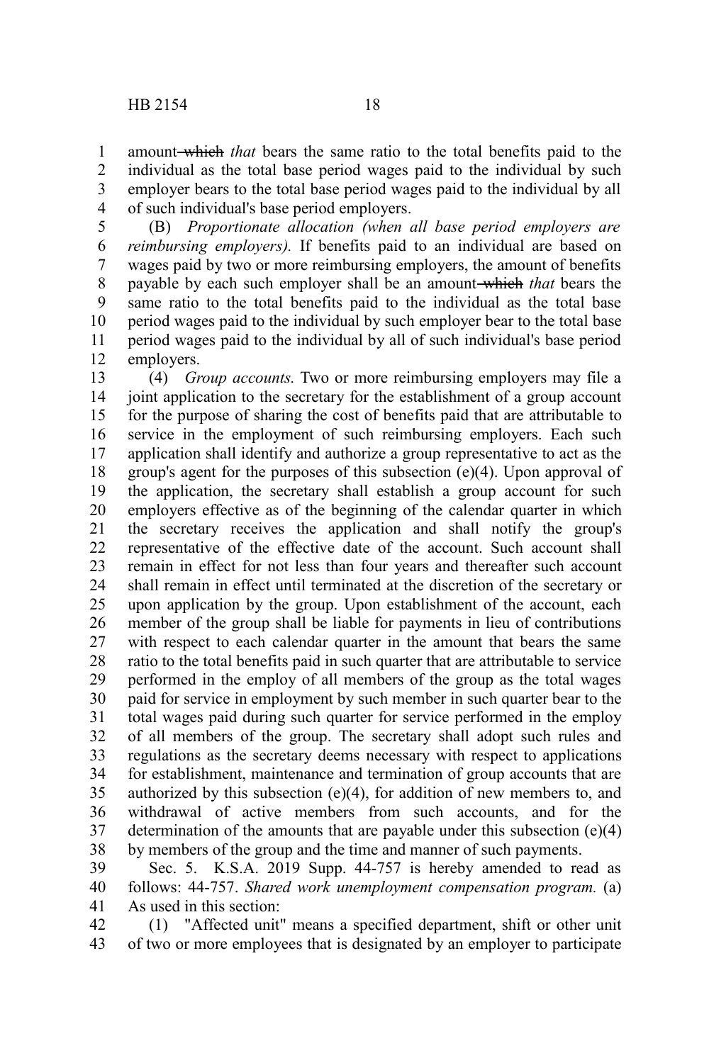amount which *that* bears the same ratio to the total benefits paid to the individual as the total base period wages paid to the individual by such employer bears to the total base period wages paid to the individual by all of such individual's base period employers. 1 2 3 4

(B) *Proportionate allocation (when all base period employers are reimbursing employers).* If benefits paid to an individual are based on wages paid by two or more reimbursing employers, the amount of benefits payable by each such employer shall be an amount which *that* bears the same ratio to the total benefits paid to the individual as the total base period wages paid to the individual by such employer bear to the total base period wages paid to the individual by all of such individual's base period employers. 5 6 7 8 9 10 11 12

(4) *Group accounts.* Two or more reimbursing employers may file a joint application to the secretary for the establishment of a group account for the purpose of sharing the cost of benefits paid that are attributable to service in the employment of such reimbursing employers. Each such application shall identify and authorize a group representative to act as the group's agent for the purposes of this subsection (e)(4). Upon approval of the application, the secretary shall establish a group account for such employers effective as of the beginning of the calendar quarter in which the secretary receives the application and shall notify the group's representative of the effective date of the account. Such account shall remain in effect for not less than four years and thereafter such account shall remain in effect until terminated at the discretion of the secretary or upon application by the group. Upon establishment of the account, each member of the group shall be liable for payments in lieu of contributions with respect to each calendar quarter in the amount that bears the same ratio to the total benefits paid in such quarter that are attributable to service performed in the employ of all members of the group as the total wages paid for service in employment by such member in such quarter bear to the total wages paid during such quarter for service performed in the employ of all members of the group. The secretary shall adopt such rules and regulations as the secretary deems necessary with respect to applications for establishment, maintenance and termination of group accounts that are authorized by this subsection  $(e)(4)$ , for addition of new members to, and withdrawal of active members from such accounts, and for the determination of the amounts that are payable under this subsection (e)(4) by members of the group and the time and manner of such payments. 13 14 15 16 17 18 19 20 21 22 23 24 25 26 27 28 29 30 31 32 33 34 35 36 37 38

Sec. 5. K.S.A. 2019 Supp. 44-757 is hereby amended to read as follows: 44-757. *Shared work unemployment compensation program.* (a) As used in this section: 39 40 41

(1) "Affected unit" means a specified department, shift or other unit of two or more employees that is designated by an employer to participate 42 43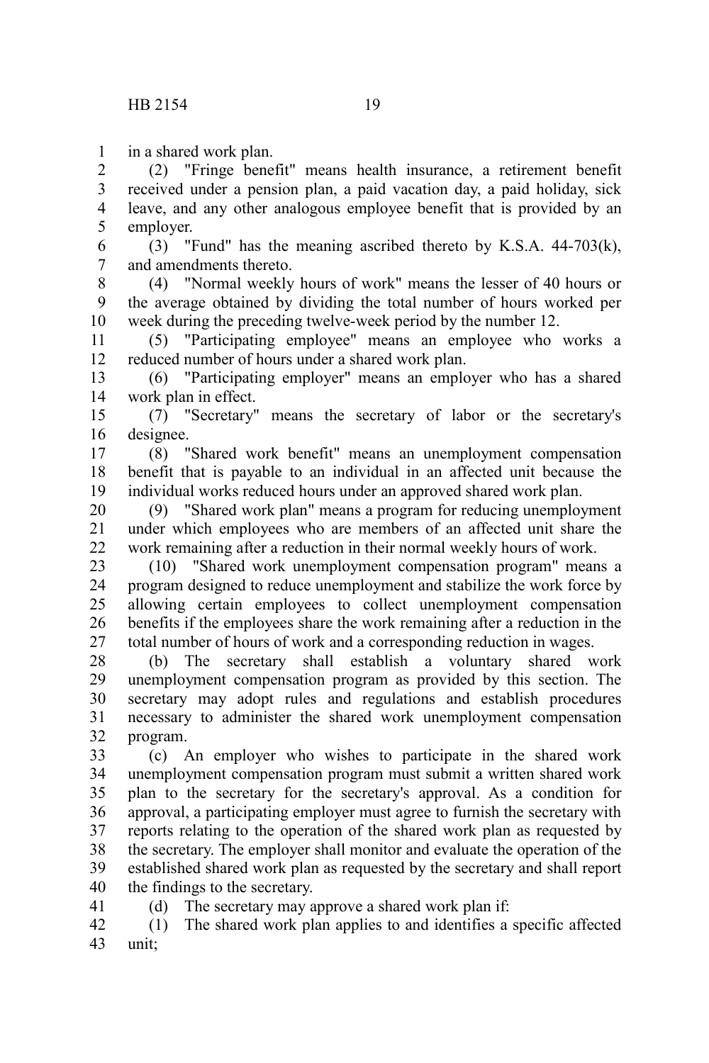in a shared work plan. 1

(2) "Fringe benefit" means health insurance, a retirement benefit received under a pension plan, a paid vacation day, a paid holiday, sick leave, and any other analogous employee benefit that is provided by an employer. 2 3 4 5

(3) "Fund" has the meaning ascribed thereto by K.S.A. 44-703(k), and amendments thereto. 6 7

(4) "Normal weekly hours of work" means the lesser of 40 hours or the average obtained by dividing the total number of hours worked per week during the preceding twelve-week period by the number 12. 8 9 10

(5) "Participating employee" means an employee who works a reduced number of hours under a shared work plan. 11 12

(6) "Participating employer" means an employer who has a shared work plan in effect. 13 14

(7) "Secretary" means the secretary of labor or the secretary's designee. 15 16

(8) "Shared work benefit" means an unemployment compensation benefit that is payable to an individual in an affected unit because the individual works reduced hours under an approved shared work plan. 17 18 19

(9) "Shared work plan" means a program for reducing unemployment under which employees who are members of an affected unit share the work remaining after a reduction in their normal weekly hours of work. 20 21 22

(10) "Shared work unemployment compensation program" means a program designed to reduce unemployment and stabilize the work force by allowing certain employees to collect unemployment compensation benefits if the employees share the work remaining after a reduction in the total number of hours of work and a corresponding reduction in wages. 23 24 25 26 27

(b) The secretary shall establish a voluntary shared work unemployment compensation program as provided by this section. The secretary may adopt rules and regulations and establish procedures necessary to administer the shared work unemployment compensation program. 28 29 30 31 32

(c) An employer who wishes to participate in the shared work unemployment compensation program must submit a written shared work plan to the secretary for the secretary's approval. As a condition for approval, a participating employer must agree to furnish the secretary with reports relating to the operation of the shared work plan as requested by the secretary. The employer shall monitor and evaluate the operation of the established shared work plan as requested by the secretary and shall report the findings to the secretary. 33 34 35 36 37 38 39 40

(d) The secretary may approve a shared work plan if:

41

(1) The shared work plan applies to and identifies a specific affected unit; 42 43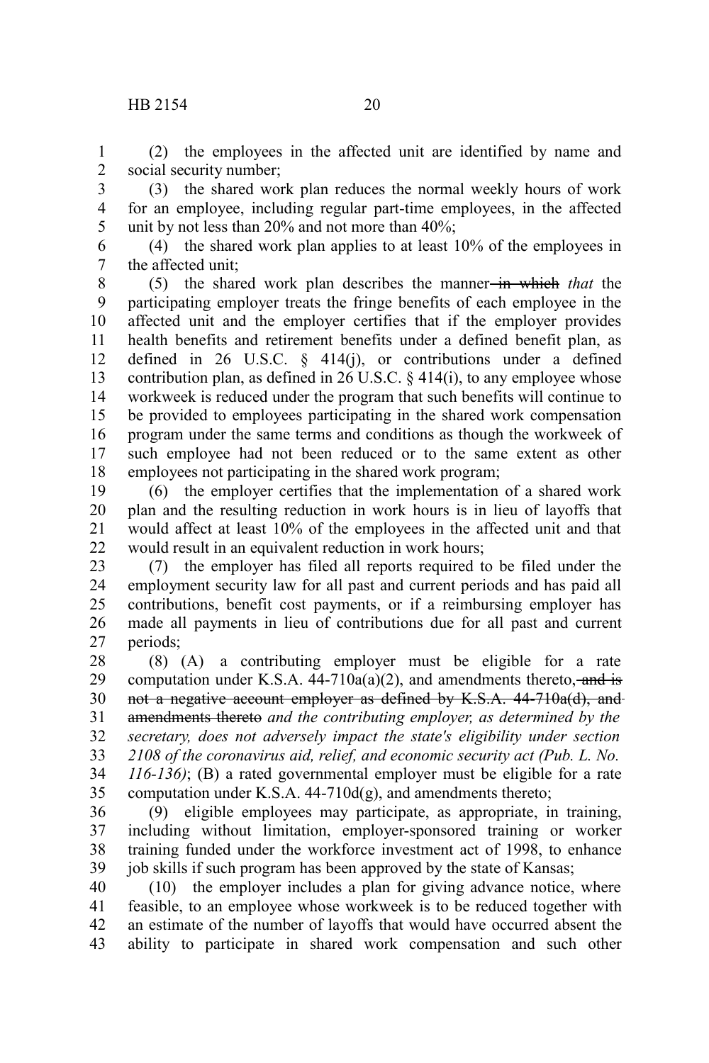## HB 2154 20

(2) the employees in the affected unit are identified by name and social security number; 1 2

(3) the shared work plan reduces the normal weekly hours of work for an employee, including regular part-time employees, in the affected unit by not less than 20% and not more than 40%; 3 4 5

(4) the shared work plan applies to at least 10% of the employees in the affected unit; 6 7

(5) the shared work plan describes the manner in which *that* the participating employer treats the fringe benefits of each employee in the affected unit and the employer certifies that if the employer provides health benefits and retirement benefits under a defined benefit plan, as defined in 26 U.S.C. § 414(j), or contributions under a defined contribution plan, as defined in 26 U.S.C.  $\S$  414(i), to any employee whose workweek is reduced under the program that such benefits will continue to be provided to employees participating in the shared work compensation program under the same terms and conditions as though the workweek of such employee had not been reduced or to the same extent as other employees not participating in the shared work program; 8 9 10 11 12 13 14 15 16 17 18

(6) the employer certifies that the implementation of a shared work plan and the resulting reduction in work hours is in lieu of layoffs that would affect at least 10% of the employees in the affected unit and that would result in an equivalent reduction in work hours; 19 20 21 22

(7) the employer has filed all reports required to be filed under the employment security law for all past and current periods and has paid all contributions, benefit cost payments, or if a reimbursing employer has made all payments in lieu of contributions due for all past and current periods; 23 24 25 26 27

(8) (A) a contributing employer must be eligible for a rate computation under K.S.A.  $44-710a(a)(2)$ , and amendments thereto, and is not a negative account employer as defined by K.S.A. 44-710a(d), and amendments thereto *and the contributing employer, as determined by the secretary, does not adversely impact the state's eligibility under section 2108 of the coronavirus aid, relief, and economic security act (Pub. L. No. 116-136)*; (B) a rated governmental employer must be eligible for a rate computation under K.S.A.  $44-710d(g)$ , and amendments thereto; 28 29 30 31 32 33 34 35

(9) eligible employees may participate, as appropriate, in training, including without limitation, employer-sponsored training or worker training funded under the workforce investment act of 1998, to enhance job skills if such program has been approved by the state of Kansas; 36 37 38 39

(10) the employer includes a plan for giving advance notice, where feasible, to an employee whose workweek is to be reduced together with an estimate of the number of layoffs that would have occurred absent the ability to participate in shared work compensation and such other 40 41 42 43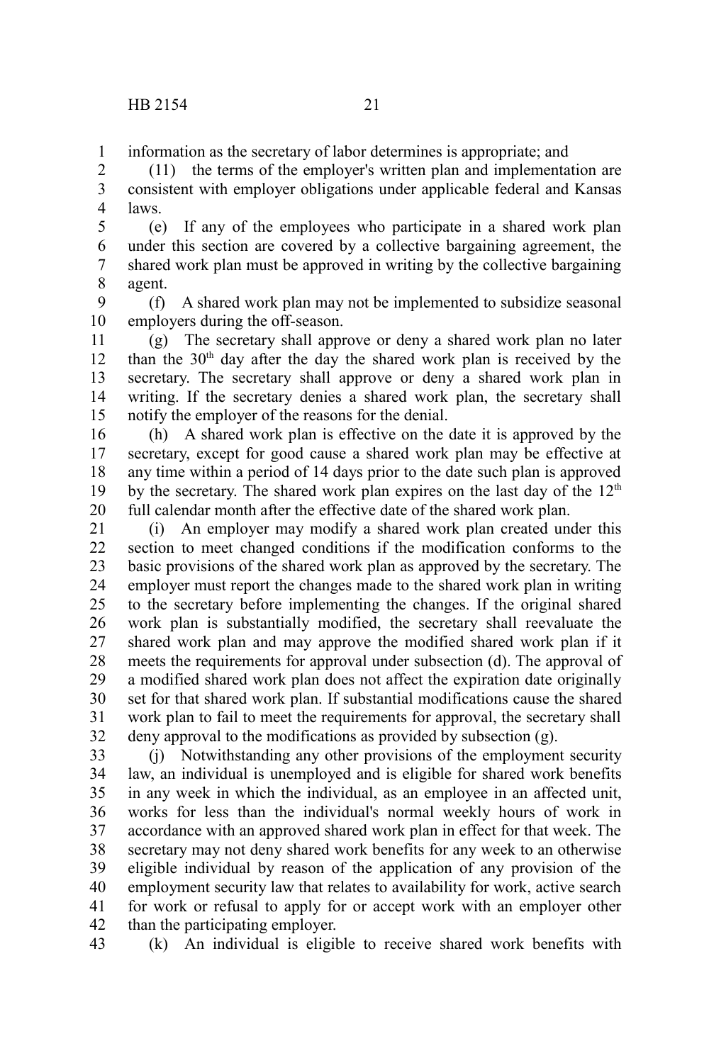information as the secretary of labor determines is appropriate; and 1

(11) the terms of the employer's written plan and implementation are consistent with employer obligations under applicable federal and Kansas laws. 2 3 4

(e) If any of the employees who participate in a shared work plan under this section are covered by a collective bargaining agreement, the shared work plan must be approved in writing by the collective bargaining agent. 5 6 7 8

(f) A shared work plan may not be implemented to subsidize seasonal employers during the off-season. 9 10

(g) The secretary shall approve or deny a shared work plan no later than the  $30<sup>th</sup>$  day after the day the shared work plan is received by the secretary. The secretary shall approve or deny a shared work plan in writing. If the secretary denies a shared work plan, the secretary shall notify the employer of the reasons for the denial. 11 12 13 14 15

(h) A shared work plan is effective on the date it is approved by the secretary, except for good cause a shared work plan may be effective at any time within a period of 14 days prior to the date such plan is approved by the secretary. The shared work plan expires on the last day of the  $12<sup>th</sup>$ full calendar month after the effective date of the shared work plan. 16 17 18 19 20

(i) An employer may modify a shared work plan created under this section to meet changed conditions if the modification conforms to the basic provisions of the shared work plan as approved by the secretary. The employer must report the changes made to the shared work plan in writing to the secretary before implementing the changes. If the original shared work plan is substantially modified, the secretary shall reevaluate the shared work plan and may approve the modified shared work plan if it meets the requirements for approval under subsection (d). The approval of a modified shared work plan does not affect the expiration date originally set for that shared work plan. If substantial modifications cause the shared work plan to fail to meet the requirements for approval, the secretary shall deny approval to the modifications as provided by subsection (g). 21 22 23 24 25 26 27 28 29 30 31 32

(j) Notwithstanding any other provisions of the employment security law, an individual is unemployed and is eligible for shared work benefits in any week in which the individual, as an employee in an affected unit, works for less than the individual's normal weekly hours of work in accordance with an approved shared work plan in effect for that week. The secretary may not deny shared work benefits for any week to an otherwise eligible individual by reason of the application of any provision of the employment security law that relates to availability for work, active search for work or refusal to apply for or accept work with an employer other than the participating employer. 33 34 35 36 37 38 39 40 41 42

(k) An individual is eligible to receive shared work benefits with 43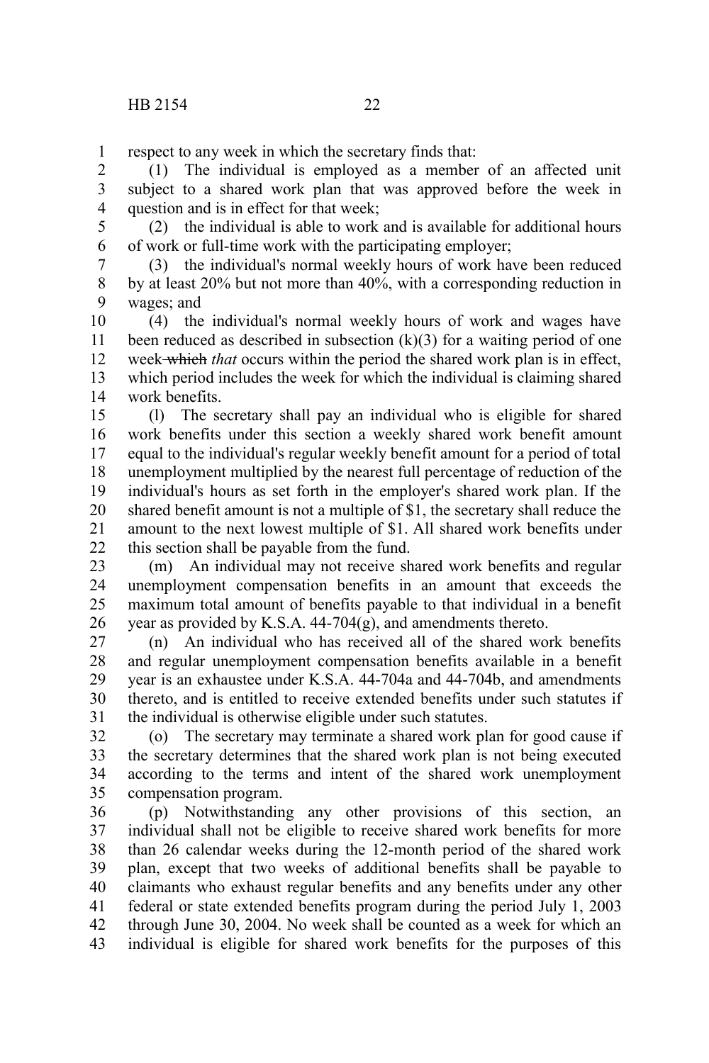respect to any week in which the secretary finds that: 1

(1) The individual is employed as a member of an affected unit subject to a shared work plan that was approved before the week in question and is in effect for that week; 2 3 4

5

(2) the individual is able to work and is available for additional hours of work or full-time work with the participating employer; 6

(3) the individual's normal weekly hours of work have been reduced by at least 20% but not more than 40%, with a corresponding reduction in wages; and 7 8 9

(4) the individual's normal weekly hours of work and wages have been reduced as described in subsection  $(k)(3)$  for a waiting period of one week which *that* occurs within the period the shared work plan is in effect, which period includes the week for which the individual is claiming shared work benefits. 10 11 12 13 14

(l) The secretary shall pay an individual who is eligible for shared work benefits under this section a weekly shared work benefit amount equal to the individual's regular weekly benefit amount for a period of total unemployment multiplied by the nearest full percentage of reduction of the individual's hours as set forth in the employer's shared work plan. If the shared benefit amount is not a multiple of \$1, the secretary shall reduce the amount to the next lowest multiple of \$1. All shared work benefits under this section shall be payable from the fund. 15 16 17 18 19 20 21 22

(m) An individual may not receive shared work benefits and regular unemployment compensation benefits in an amount that exceeds the maximum total amount of benefits payable to that individual in a benefit year as provided by K.S.A. 44-704(g), and amendments thereto. 23 24 25 26

(n) An individual who has received all of the shared work benefits and regular unemployment compensation benefits available in a benefit year is an exhaustee under K.S.A. 44-704a and 44-704b, and amendments thereto, and is entitled to receive extended benefits under such statutes if the individual is otherwise eligible under such statutes. 27 28 29 30 31

(o) The secretary may terminate a shared work plan for good cause if the secretary determines that the shared work plan is not being executed according to the terms and intent of the shared work unemployment compensation program. 32 33 34 35

(p) Notwithstanding any other provisions of this section, an individual shall not be eligible to receive shared work benefits for more than 26 calendar weeks during the 12-month period of the shared work plan, except that two weeks of additional benefits shall be payable to claimants who exhaust regular benefits and any benefits under any other federal or state extended benefits program during the period July 1, 2003 through June 30, 2004. No week shall be counted as a week for which an individual is eligible for shared work benefits for the purposes of this 36 37 38 39 40 41 42 43